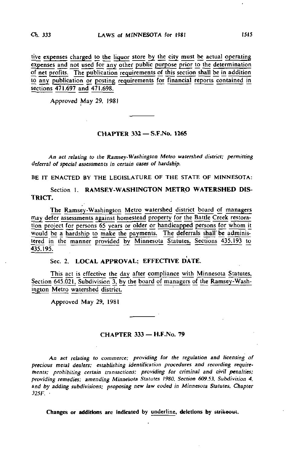tive expenses charged to the liquor store by the city must be actual operating expenses and not used for any other public purpose prior to the determination of net profits. The publication requirements of this section shall be in addition to any publication or posting requirements for financial reports contained in sections 471.697 and 471.698.

Approved May 29, 1981

#### CHAPTER 332 — S.F.No. 1265

An act relating to the Ramsey-Washington Metro watershed district; permitting deferral of special assessments in certain cases of hardship.

BE IT ENACTED BY THE LEGISLATURE OF THE STATE OF MINNESOTA:

Section 1. RAMSEY-WASHINGTON METRO WATERSHED DIS-TRICT.

The Ramsey-Washington Metro watershed district board of managers may defer assessments against homestead property for the Battle Creek restoration project for persons 65 years or older or handicapped persons for whom it would be a hardship to make the payments. The deferrals shall be administered in the manner provided by Minnesota Statutes, Sections 435.193 to  $435.195.$ 

# Sec. 2. LOCAL APPROVAL; EFFECTIVE DATE.

This act is effective the day after compliance with Minnesota Statutes. Section 645.021. Subdivision 3, by the board of managers of the Ramsey-Washington Metro watershed district.

Approved May 29, 1981

### CHAPTER 333 — H.F.No. 79

An act relating to commerce; providing for the regulation and licensing of precious metal dealers; establishing identification procedures and recording requirements; prohibiting certain transactions; providing for criminal and civil penalties; providing remedies; amending Minnesota Statutes 1980, Section 609.53, Subdivision 4, and by adding subdivisions; proposing new law coded in Minnesota Statutes, Chapter 325F. •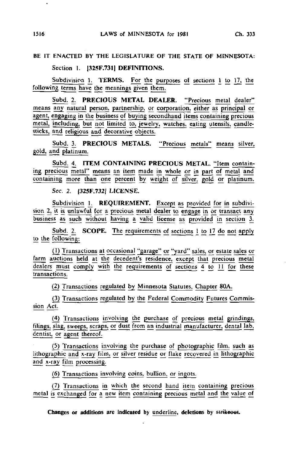# BE IT ENACTED BY THE LEGISLATURE OF THE STATE OF MINNESOTA:

Section 1. [325F.731] DEFINITIONS.

Subdivision 1. TERMS. For the purposes of sections 1 to 17, the following terms have the meanings given them.

Subd. 2. PRECIOUS METAL DEALER. "Precious metal dealer" means any natural person, partnership, or corporation, either as principal or agent, engaging in the business of buying secondhand items containing precious metal, including, but not limited to, jewelry, watches, eating utensils, candlesticks, and religious and decorative objects.

Subd. 3. PRECIOUS METALS. "Precious metals" means silver, gold, and platinum.

Subd. 4. ITEM CONTAINING PRECIOUS METAL. "Item containing precious metal" means an item made in whole or in part of metal and containing more than one percent by weight of silver, gold or platinum.

Sec. 2. |325F.732] LICENSE.

Subdivision 1. REQUIREMENT. Except as provided for in subdivision 2, it is unlawful for a precious metal dealer to engage in or transact any business as such without having a valid license as provided in section 3.

Subd. 2. SCOPE. The requirements of sections 1 to 17 do not apply to the following:

0) Transactions at occasional "garage" or "yard" sales, or estate sajes or farm auctions held at the decedent's residence, except that precious metal dealers must comply with the requirements of sections 4 to 11 for these transactions.

(2) Transactions regulated by Minnesota Statutes, Chapter 80A.

(3) Transactions regulated by\_ the Federal Commodity Futures Commission Act.

(4) Transactions involving the purchase of precious metal grindings, filings, slag, sweeps, scraps, or dust from an industrial manufacturer, dental lab, dentist, or agent thereof.

(5) Transactions involving the purchase of photographic film, such as lithographic and x-ray film, or silver residue or flake recovered in lithographic and x-ray film processing.

(6) Transactions involving coins, bullion, or ingots.

(7) Transactions in which the second hand item containing precious metal is exchanged for a new item containing precious metal and the value of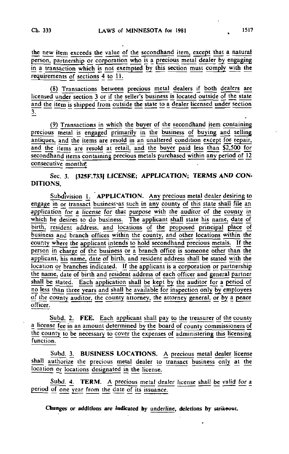the new item exceeds the value of the secondhand item, except that a natural person, partnership or corporation who is a precious metal dealer by engaging in a transaction which is not exempted by this section must comply with the requirements of sections 4 to 11.

(8) Transactions between precious metal dealers if both dealers are licensed under section 3 or if the seller's business is located outside of the state and the item is shipped from outside the state to a dealer licensed under section  $\overline{3}$ .

(9) Transactions in which the buyer of the secondhand item containing precious metal is engaged primarily in the business of buying and selling antiques, and the items are resold in an unaltered condition except for repair, and the items are resold at retail, and the buyer paid less than \$2,500 for  $\overline{\text{secondhand items containing precious metals purchased within any period of 12}}$ consecutive months.

Sec. 3. [325F.733I LICENSE; APPLICATION; TERMS AND CON-DITIONS,

Subdivision 1. APPLICATION. Any precious metal dealer desiring to engage in or transact business as such in any county of this state shall file an application for a license for that purpose with the auditor of the county in which he desires to do business. The applicant shall state his name, date of birth, resident address, and locations of the proposed principal place of business and branch offices within the county, and other locations within the county where the applicant intends to hold secondhand precious metals. If the person in charge of the business or a branch office is someone other than the applicant, his name, date of birth, and resident address shall be stated with the location or branches indicated. If the applicant is a corporation or partnership the name, date of birth and resident address of each officer and general partner shall be stated. Each application shall be kept by the auditor for a period of no less than three years and shall be available for inspection only by employees of the county auditor, the county attorney, the attorney general, or by a peace officer.

Subd. 2. FEE. Each applicant shall pay to the treasurer of the county a license fee in an amount determined by the board of county commissioners of the county to be necessary to cover the expenses of administering this licensing function.

Subd. 3. BUSINESS LOCATIONS. A precious metal dealer license shall authorize the precious metal dealer to transact business only at the location or locations designated in the license.

Subd. 4. TERM. A precious metal dealer license shall be valid for a period of one year from the date of its issuance.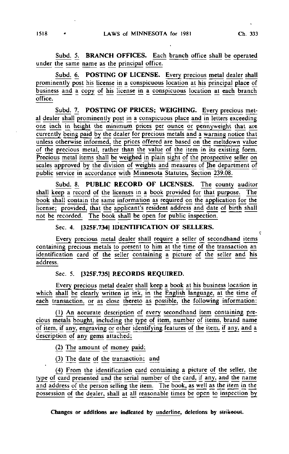Subd. 5. BRANCH OFFICES. Each branch office shall be operated under the same name as the principal office.

Subd. 6. POSTING OF LICENSE. Every precious metal dealer shall prominently post his license in a conspicuous location at his principal place of business and a copy of his license in a conspicuous location at each branch office.

Subd. 7. POSTING OF PRICES; WEIGHING. Every precious metal dealer shall prominently post in a conspicuous place and in letters exceeding one inch in height the minimum prices per ounce or pennyweight that are currently being paid by the dealer for precious metals and a warning notice that unless otherwise informed, the prices offered are based on the meltdown value of the precious metal, rather than the value of the item in its existing form. Precious metal items shall be weighed in plain sight of the prospective seller on scales approved by the division of weights and measures of the department of public service in accordance with Minnesota Statutes, Section 239.08.

Subd. 8. PUBLIC RECORD OF LICENSES. The county auditor shall keeg a record of the licenses in a book provided for that purpose. The book shall contain the same information as required on the application for the license; provided, that the applicant's resident address and date of birth shall not be recorded. The book shall be open for public inspection.

## Sec. 4. [325F.734] IDENTIFICATION OF SELLERS.

Every precious metal dealer shall require a seller of secondhand items containing precious metals to present to him at the time of the transaction an identification card of the seller containing a picture of the seller and his address.

#### Sec. 5. [32SF.735] RECORDS REQUIRED.

Every precious metal dealer shall keep a book at his business location in which shall be clearly written in ink, in the English language, at the time of each transaction, or as close thereto as possible, the following information:

(1) An accurate description of every secondhand item containing precious metals bought, including the type of item, number of items, brand name of item, if any, engraving or other identifying features of the item, if any, and a description of any gems attached;

(2) The amount of money paid;

(3) The date of the transaction; and

(4) From the identification card containing a picture of the seller, the type of card presented and the serial number of the card, if any, and the name and address of the person selling the item. The book, as well as the item in the possession of the dealer, shall at all reasonable times be open to inspection by

Changes or additions are indicated by underline, deletions by strikeout.

i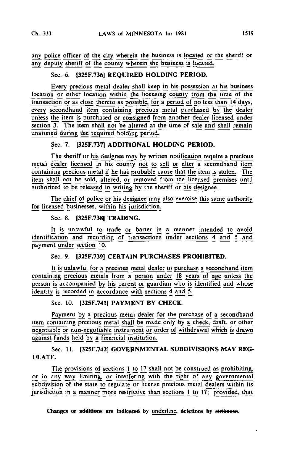any police officer of the city wherein the business is located or the sheriff or any deputy sheriff of the county wherein the business is located.

# Sec. 6. I325F.736] REQUIRED HOLDING PERIOD.

Every precious metal dealer shall keep in his possession at his business location or other location within the licensing county from the time of the transaction or as close thereto as possible, for a period of no less than 14 days, every secondhand item containing precious metal purchased by the dealer unless the item is purchased or consigned from another dealer licensed under section 3. The item shall not be altered at the time of sale and shall remain unaltered during the required holding period.

## Sec. 7. [325F.737] ADDITIONAL HOLDING PERIOD.

The sheriff or his designee may by written notification require a precious metal dealer licensed in his county not to sell or alter a secondhand item containing precious metal if he has probable cause that the item is stolen. The item shall not be sold, altered, or removed from the licensed premises until authorized to be released in writing by the sheriff or his designee.

The chief of police or his designee may also exercise this same authority for licensed businesses, within his jurisdiction.

Sec. 8. |325F.738| TRADING.

It is unlawful to trade or barter in a manner intended to avoid identification and recording of transactions under sections 4 and 5 and payment under section 10.

# Sec. 9. [325F.739] CERTAIN PURCHASES PROHIBITED.

It is unlawful for a precious metal dealer to purchase a secondhand item containing precious metals from a person under  $\frac{1}{18}$  years of age unless the person is accompanied by his parent or guardian who is identified and whose identity is recorded in accordance with sections 4 and 5.

# Sec. 10. (325F.741] PAYMENT BY CHECK.

Payment by a precious metal dealer for the purchase of a secondhand item containing precious metal shall be made only by a check, draft, or other negotiable or non-nggotiable instrument or order of withdrawal which is drawn against funds held by a financial institution.

Sec. 11. (325F.742] GOVERNMENTAL SUBDIVISIONS MAY REG-ULATE.

The provisions of sections I to 17 shall not be construed as prohibiting, or in any way limiting, or interfering with the right of any\_ governmental subdivision of the state to regulate or license precious metal dealers within its jurisdiction in a manner more restrictive than sections 1 to 17; provided, that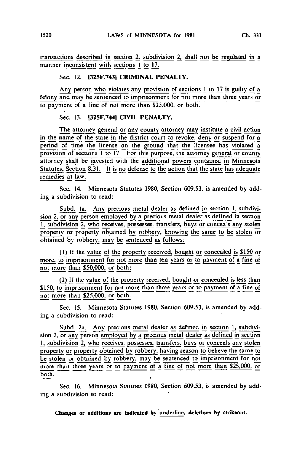### Sec. 12. (325F.743) CRIMINAL PENALTY.

Any person who violates any provision of sections  $1$  to  $17$  is guilty of a felony and may be sentenced to imprisonment for not more than three years or to payment of a fine of not more than \$25.000, or both.

Sec. 13. I325F.744) CIVIL PENALTY.

The attorney general or any county attorney may institute a civil action in the name of the state in the district court to revoke, deny or suspend for a period of time the license on the ground that the licensee has violated a provision of sections  $\overline{1}$  to 17. For this purpose, the attorney general or county attorney shall be invested with the additional powers contained in Minnesota Statutes. Section 8.31. It is no defense to the action that the state has adequate remedies at law.

Sec. 14. Minnesota Statutes 1980, Section 609.53, is amended by adding a subdivision to read:

Subd. la. Any precious metal dealer as defined in section 1, subdivision 2, or any person employed by a precious metal dealer as defined in section 1, subdivision 2, who receives, possesses, transfers, buys or conceals any stolen property or property obtained by robbery, knowing the same to be stolen or obtained by robbery, may be sentenced as follows:

(1) If the value of the property received, bought or concealed is \$150 or more, to imprisonment for not more than ten years or to payment of a fine of not more than \$50,000. or both;

(2) |f the value of the property received, bought or concealed is less than \$150, to imprisonment for not more than three years or to payment of a fine of not more than \$25,000, or both.

Sec. 15. Minnesota Statutes 1980, Section 609.53. is amended by adding a subdivision to read:

Subd. 2a. Any precious metal dealer as defined in section 1, subdivision 2, or any person employed by a precious metal dealer as defined in section 1, subdivision 2, who receives, possesses, transfers, buys or conceals any stolen property or property obtained by robbery, having reason to believe the same to be stolen or obtained by robbery, may be sentenced to imprisonment for not more than three years or to payment of a fine of not more than \$25,000, or both.

Sec. 16. Minnesota Statutes 1980. Section 609.53. is amended by adding a subdivision to read: